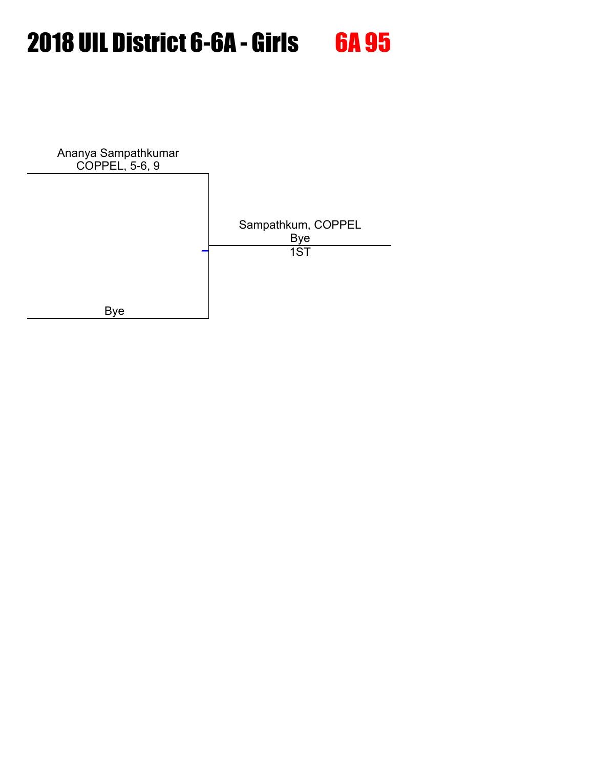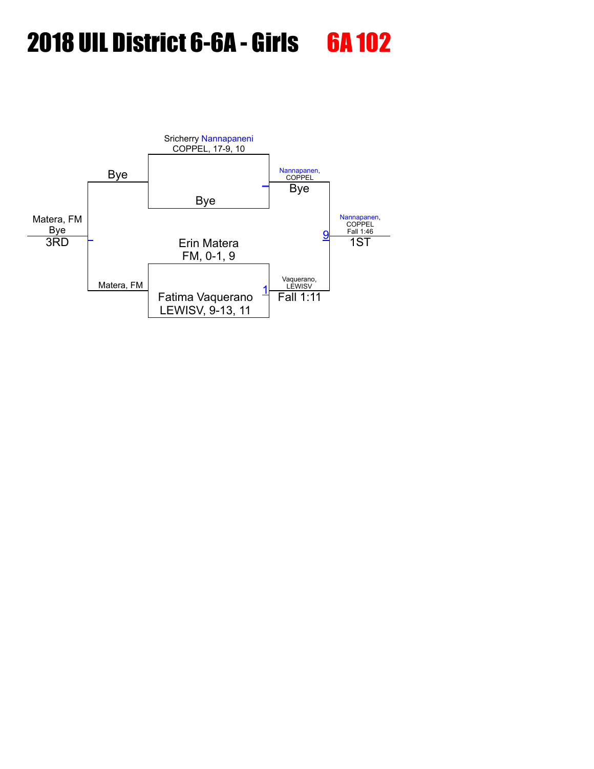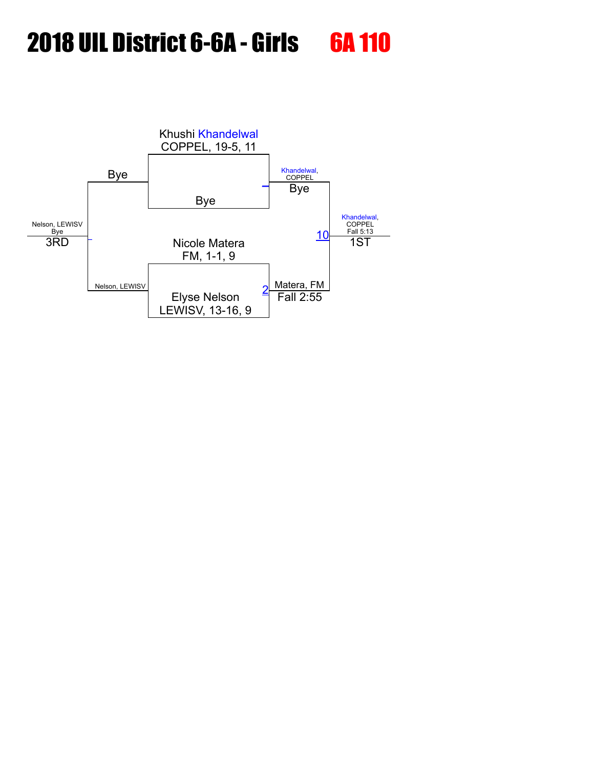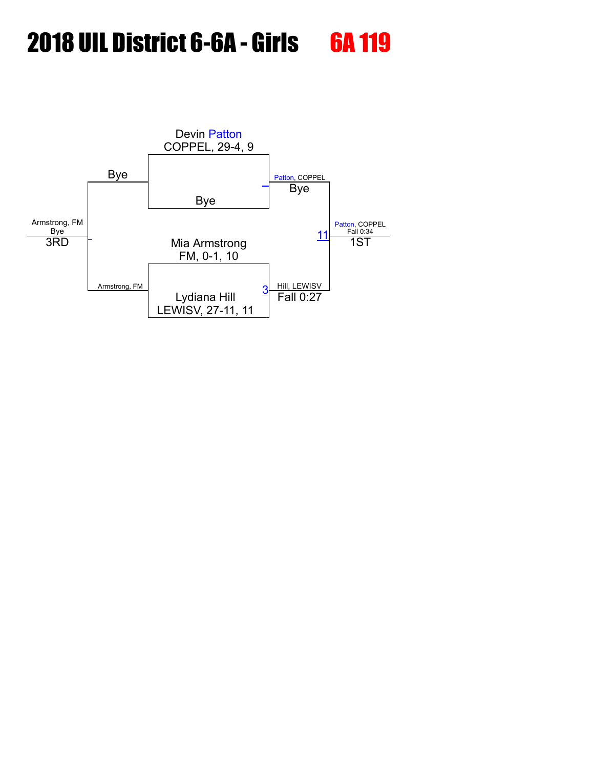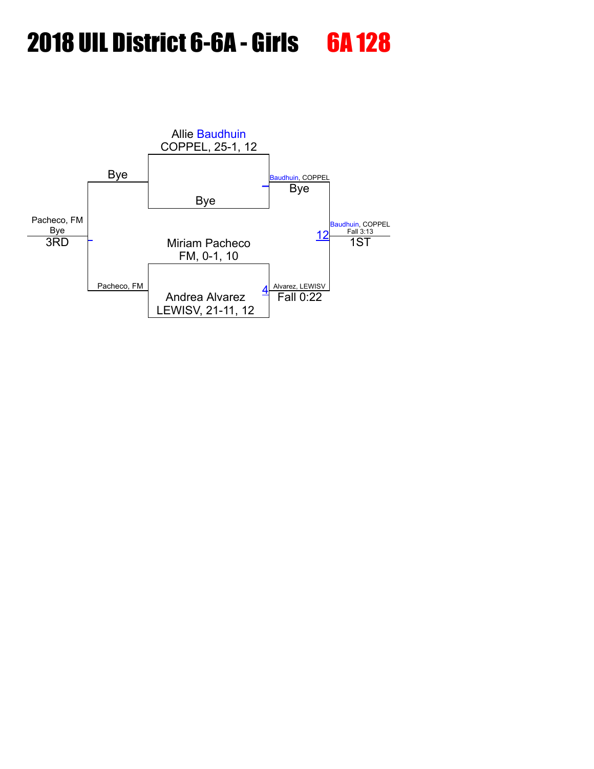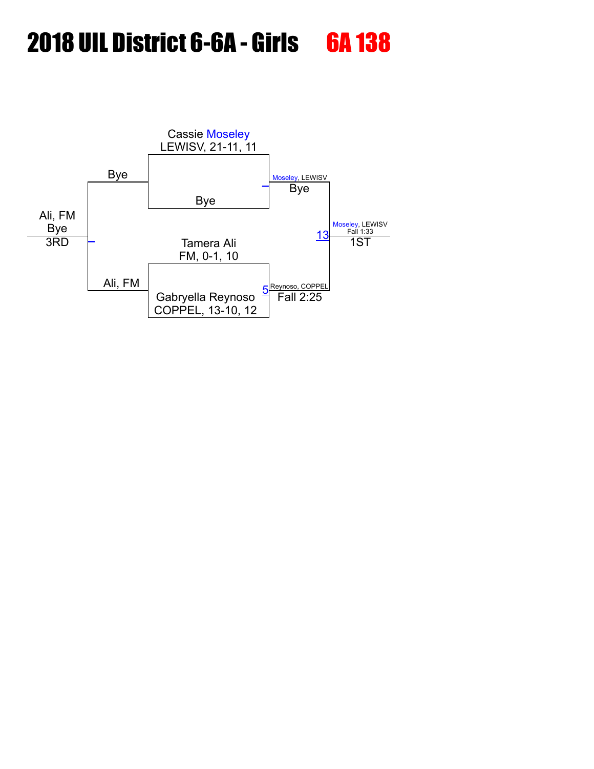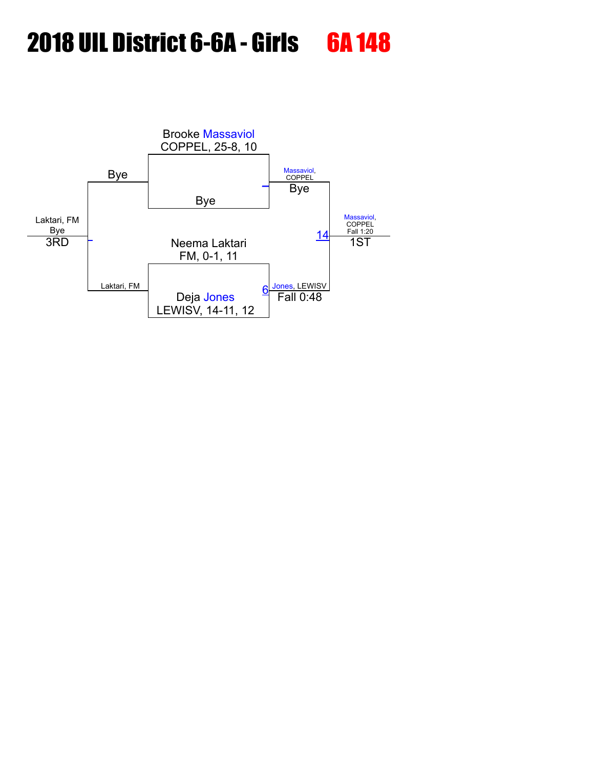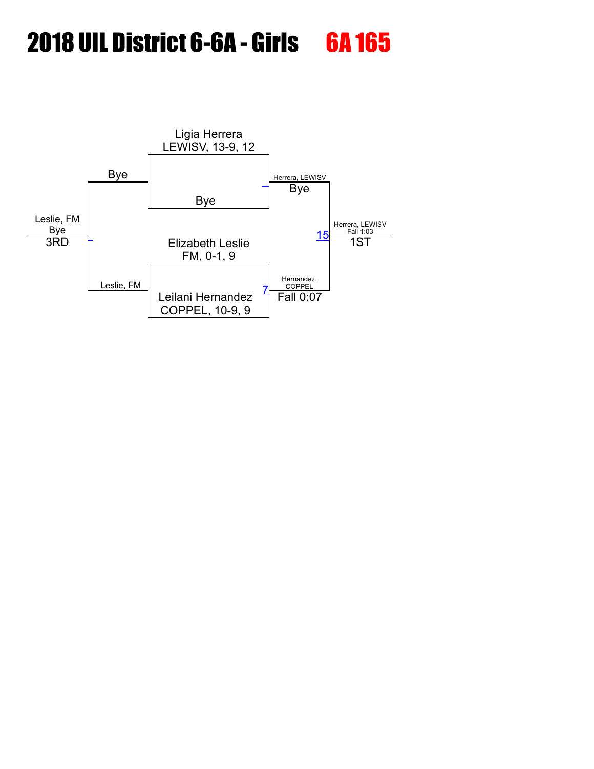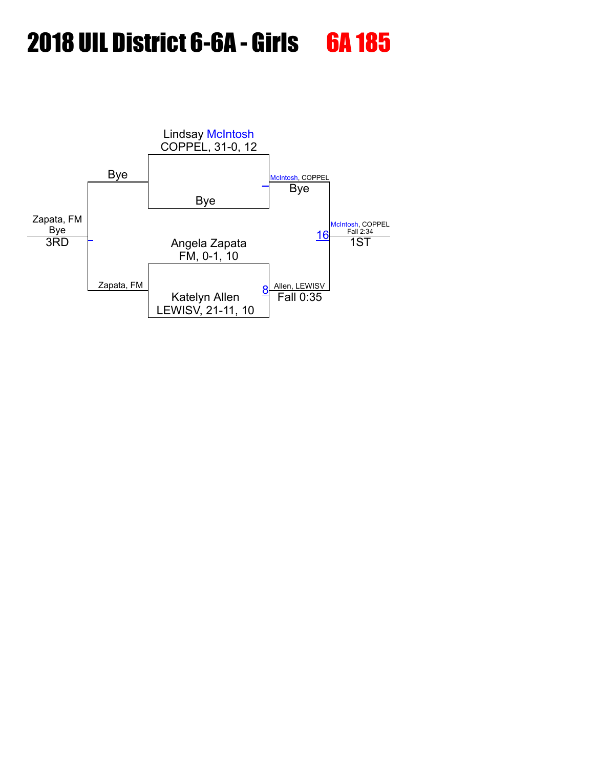